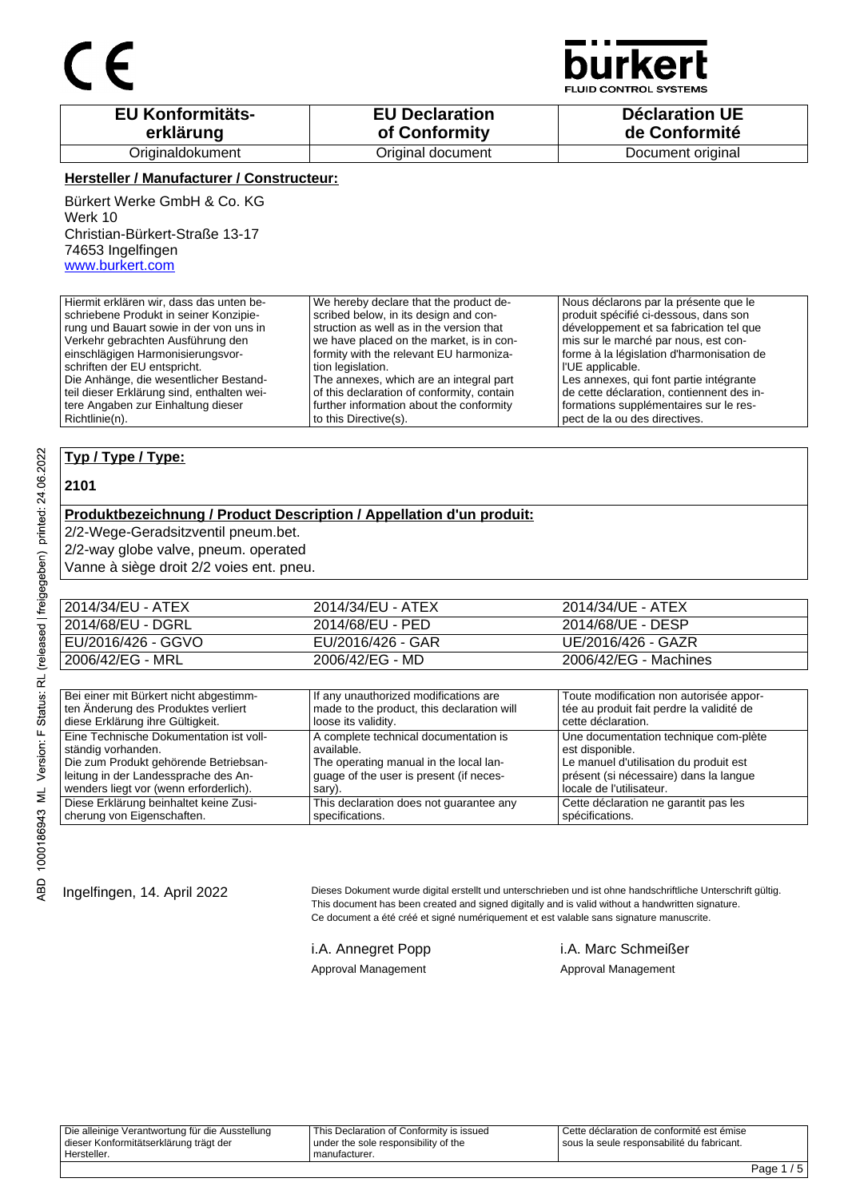

**JID CONTROL SYSTEMS** 

| <b>EU Konformitäts-</b> | <b>EU Declaration</b> | <b>Déclaration UE</b> |
|-------------------------|-----------------------|-----------------------|
| erklärung               | of Conformity         | de Conformité         |
| Originaldokument        | Original document     | Document original     |

#### **Hersteller / Manufacturer / Constructeur:**

Bürkert Werke GmbH & Co. KG Werk 10 Christian-Bürkert-Straße 13-17 74653 Ingelfingen www.burkert.com

Hiermit erklären wir, dass das unten beschriebene Produkt in seiner Konzipierung und Bauart sowie in der von uns in Verkehr gebrachten Ausführung den einschlägigen Harmonisierungsvorschriften der EU entspricht. Die Anhänge, die wesentlicher Bestandteil dieser Erklärung sind, enthalten weitere Angaben zur Einhaltung dieser Richtlinie(n). We hereby declare that the product described below, in its design and construction as well as in the version that we have placed on the market, is in conformity with the relevant EU harmonization legislation. The annexes, which are an integral part of this declaration of conformity, contain further information about the conformity to this Directive(s). Nous déclarons par la présente que le produit spécifié ci-dessous, dans son développement et sa fabrication tel que mis sur le marché par nous, est conforme à la législation d'harmonisation de l'UE applicable. Les annexes, qui font partie intégrante de cette déclaration, contiennent des informations supplémentaires sur le respect de la ou des directives.

#### **Typ / Type / Type:**

#### **2101**

### **Produktbezeichnung / Product Description / Appellation d'un produit:**

2/2-Wege-Geradsitzventil pneum.bet.

2/2-way globe valve, pneum. operated

Vanne à siège droit 2/2 voies ent. pneu.

| 2014/34/EU - ATEX  | 2014/34/EU - ATEX | 2014/34/UE - ATEX     |
|--------------------|-------------------|-----------------------|
| 2014/68/EU - DGRL  | 2014/68/EU - PED  | 2014/68/UE - DESP     |
| EU/2016/426 - GGVO | EU/2016/426 - GAR | UE/2016/426 - GAZR    |
| 2006/42/EG - MRL   | 2006/42/EG - MD   | 2006/42/EG - Machines |

| Bei einer mit Bürkert nicht abgestimm-  | If any unauthorized modifications are      | Toute modification non autorisée appor-   |
|-----------------------------------------|--------------------------------------------|-------------------------------------------|
| ten Änderung des Produktes verliert     | made to the product, this declaration will | tée au produit fait perdre la validité de |
| diese Erklärung ihre Gültigkeit.        | loose its validity.                        | cette déclaration.                        |
| Eine Technische Dokumentation ist voll- | A complete technical documentation is      | Une documentation technique com-plète     |
| ständig vorhanden.                      | available.                                 | est disponible.                           |
| Die zum Produkt gehörende Betriebsan-   | The operating manual in the local lan-     | Le manuel d'utilisation du produit est    |
| leitung in der Landessprache des An-    | guage of the user is present (if neces-    | présent (si nécessaire) dans la langue    |
| wenders liegt vor (wenn erforderlich).  | sary).                                     | locale de l'utilisateur.                  |
| Diese Erklärung beinhaltet keine Zusi-  | This declaration does not guarantee any    | Cette déclaration ne garantit pas les     |
| cherung von Eigenschaften.              | specifications.                            | spécifications.                           |

Ingelfingen, 14. April 2022 Dieses Dokument wurde digital erstellt und unterschrieben und ist ohne handschriftliche Unterschrift gültig. This document has been created and signed digitally and is valid without a handwritten signature. Ce document a été créé et signé numériquement et est valable sans signature manuscrite.

i.A. Annegret Popp i.A. Marc Schmeißer Approval Management Approval Management

Die alleinige Verantwortung für die Ausstellung dieser Konformitätserklärung trägt der Hersteller. This Declaration of Conformity is issued under the sole responsibility of the manufacturer. Cette déclaration de conformité est émise sous la seule responsabilité du fabricant.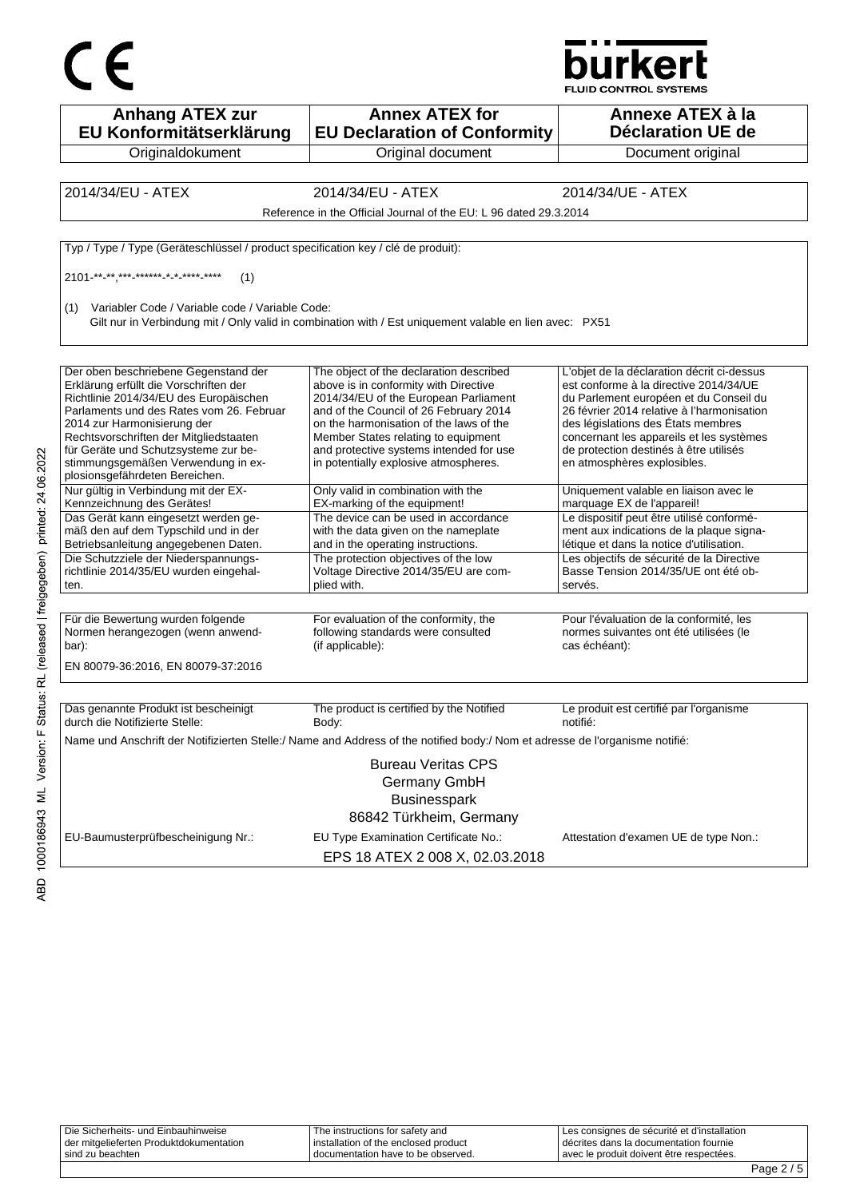



| <b>Anhang ATEX zur</b><br>EU Konformitätserklärung                                                                                                                                                                                                                                                                                                            | <b>Annex ATEX for</b><br><b>EU Declaration of Conformity</b>                                                                                                                                                                                                                                                                              | Annexe ATEX à la<br><b>Déclaration UE de</b>                                                                                                                                                                                                                                                                                            |
|---------------------------------------------------------------------------------------------------------------------------------------------------------------------------------------------------------------------------------------------------------------------------------------------------------------------------------------------------------------|-------------------------------------------------------------------------------------------------------------------------------------------------------------------------------------------------------------------------------------------------------------------------------------------------------------------------------------------|-----------------------------------------------------------------------------------------------------------------------------------------------------------------------------------------------------------------------------------------------------------------------------------------------------------------------------------------|
| Originaldokument                                                                                                                                                                                                                                                                                                                                              | Original document                                                                                                                                                                                                                                                                                                                         | Document original                                                                                                                                                                                                                                                                                                                       |
|                                                                                                                                                                                                                                                                                                                                                               |                                                                                                                                                                                                                                                                                                                                           |                                                                                                                                                                                                                                                                                                                                         |
| 2014/34/EU - ATEX                                                                                                                                                                                                                                                                                                                                             | 2014/34/EU - ATEX                                                                                                                                                                                                                                                                                                                         | 2014/34/UE - ATEX                                                                                                                                                                                                                                                                                                                       |
|                                                                                                                                                                                                                                                                                                                                                               | Reference in the Official Journal of the EU: L 96 dated 29.3.2014                                                                                                                                                                                                                                                                         |                                                                                                                                                                                                                                                                                                                                         |
| Typ / Type / Type (Geräteschlüssel / product specification key / clé de produit):                                                                                                                                                                                                                                                                             |                                                                                                                                                                                                                                                                                                                                           |                                                                                                                                                                                                                                                                                                                                         |
| 2101 ** ** *** ****** * * **** ****<br>(1)                                                                                                                                                                                                                                                                                                                    |                                                                                                                                                                                                                                                                                                                                           |                                                                                                                                                                                                                                                                                                                                         |
| Variabler Code / Variable code / Variable Code:<br>(1)                                                                                                                                                                                                                                                                                                        | Gilt nur in Verbindung mit / Only valid in combination with / Est uniquement valable en lien avec: PX51                                                                                                                                                                                                                                   |                                                                                                                                                                                                                                                                                                                                         |
| Der oben beschriebene Gegenstand der<br>Erklärung erfüllt die Vorschriften der<br>Richtlinie 2014/34/EU des Europäischen<br>Parlaments und des Rates vom 26. Februar<br>2014 zur Harmonisierung der<br>Rechtsvorschriften der Mitgliedstaaten<br>für Geräte und Schutzsysteme zur be-<br>stimmungsgemäßen Verwendung in ex-<br>plosionsgefährdeten Bereichen. | The object of the declaration described<br>above is in conformity with Directive<br>2014/34/EU of the European Parliament<br>and of the Council of 26 February 2014<br>on the harmonisation of the laws of the<br>Member States relating to equipment<br>and protective systems intended for use<br>in potentially explosive atmospheres. | L'objet de la déclaration décrit ci-dessus<br>est conforme à la directive 2014/34/UE<br>du Parlement européen et du Conseil du<br>26 février 2014 relative à l'harmonisation<br>des législations des États membres<br>concernant les appareils et les systèmes<br>de protection destinés à être utilisés<br>en atmosphères explosibles. |
| Nur gültig in Verbindung mit der EX-<br>Kennzeichnung des Gerätes!                                                                                                                                                                                                                                                                                            | Only valid in combination with the<br>EX-marking of the equipment!                                                                                                                                                                                                                                                                        | Uniquement valable en liaison avec le<br>marquage EX de l'appareil!                                                                                                                                                                                                                                                                     |
| Das Gerät kann eingesetzt werden ge-<br>mäß den auf dem Typschild und in der<br>Betriebsanleitung angegebenen Daten.                                                                                                                                                                                                                                          | The device can be used in accordance<br>with the data given on the nameplate<br>and in the operating instructions.                                                                                                                                                                                                                        | Le dispositif peut être utilisé conformé-<br>ment aux indications de la plaque signa-<br>létique et dans la notice d'utilisation.                                                                                                                                                                                                       |
| Die Schutzziele der Niederspannungs-<br>richtlinie 2014/35/EU wurden eingehal-<br>ten.                                                                                                                                                                                                                                                                        | The protection objectives of the low<br>Voltage Directive 2014/35/EU are com-<br>plied with.                                                                                                                                                                                                                                              | Les objectifs de sécurité de la Directive<br>Basse Tension 2014/35/UE ont été ob-<br>servés.                                                                                                                                                                                                                                            |
| Für die Bewertung wurden folgende<br>Normen herangezogen (wenn anwend-<br>bar):<br>EN 80079-36:2016, EN 80079-37:2016                                                                                                                                                                                                                                         | For evaluation of the conformity, the<br>following standards were consulted<br>(if applicable):                                                                                                                                                                                                                                           | Pour l'évaluation de la conformité, les<br>normes suivantes ont été utilisées (le<br>cas échéant):                                                                                                                                                                                                                                      |
| Das genannte Produkt ist bescheinigt                                                                                                                                                                                                                                                                                                                          | The product is certified by the Notified                                                                                                                                                                                                                                                                                                  | Le produit est certifié par l'organisme                                                                                                                                                                                                                                                                                                 |
| durch die Notifizierte Stelle:                                                                                                                                                                                                                                                                                                                                | Body:                                                                                                                                                                                                                                                                                                                                     | notifié:                                                                                                                                                                                                                                                                                                                                |
|                                                                                                                                                                                                                                                                                                                                                               | Name und Anschrift der Notifizierten Stelle:/ Name and Address of the notified body:/ Nom et adresse de l'organisme notifié:                                                                                                                                                                                                              |                                                                                                                                                                                                                                                                                                                                         |
|                                                                                                                                                                                                                                                                                                                                                               | <b>Bureau Veritas CPS</b><br>Germany GmbH<br><b>Businesspark</b><br>86842 Türkheim, Germany                                                                                                                                                                                                                                               |                                                                                                                                                                                                                                                                                                                                         |
| EU-Baumusterprüfbescheinigung Nr.:                                                                                                                                                                                                                                                                                                                            | EU Type Examination Certificate No.:<br>EPS 18 ATEX 2 008 X, 02.03.2018                                                                                                                                                                                                                                                                   | Attestation d'examen UE de type Non.:                                                                                                                                                                                                                                                                                                   |

|                                         |                                        |                                             | $\sim$ $\sim$ $\sim$ |
|-----------------------------------------|----------------------------------------|---------------------------------------------|----------------------|
| sind zu beachten                        | I documentation have to be observed.   | avec le produit doivent être respectées.    |                      |
| der mitgelieferten Produktdokumentation | I installation of the enclosed product | I décrites dans la documentation fournie    |                      |
| Die Sicherheits- und Einbauhinweise     | The instructions for safety and        | Les consignes de sécurité et d'installation |                      |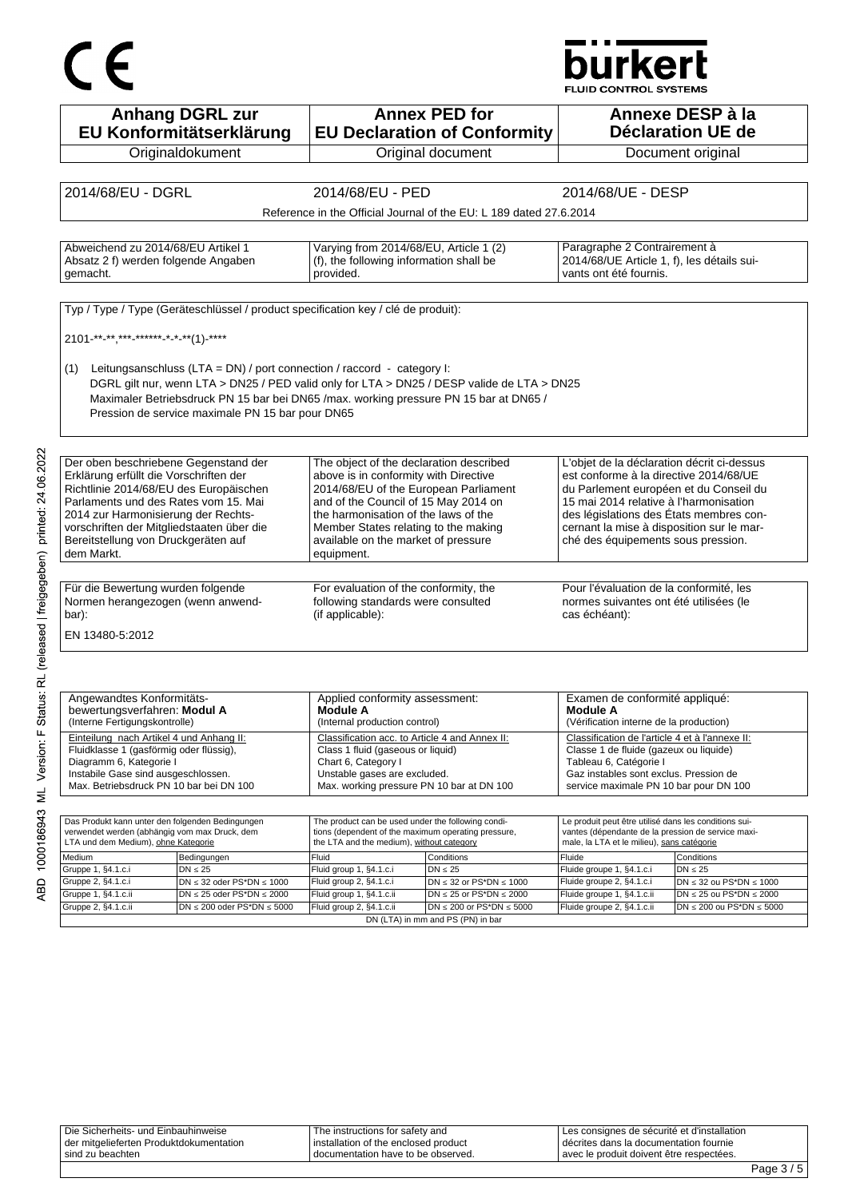# $C \in$

## **burkert**

FLUID CONTROL SYSTEMS

| <b>Anhang DGRL zur</b><br>EU Konformitätserklärung                                                                                                                                                                                                                                                                       | <b>Annex PED for</b><br>Annexe DESP à la<br><b>Déclaration UE de</b><br><b>EU Declaration of Conformity</b>                                                                                                                                                                                            |                                                                       |                                                                                                                                                                                                                                                                                                        |                                                                       |
|--------------------------------------------------------------------------------------------------------------------------------------------------------------------------------------------------------------------------------------------------------------------------------------------------------------------------|--------------------------------------------------------------------------------------------------------------------------------------------------------------------------------------------------------------------------------------------------------------------------------------------------------|-----------------------------------------------------------------------|--------------------------------------------------------------------------------------------------------------------------------------------------------------------------------------------------------------------------------------------------------------------------------------------------------|-----------------------------------------------------------------------|
| Originaldokument                                                                                                                                                                                                                                                                                                         | Original document                                                                                                                                                                                                                                                                                      |                                                                       |                                                                                                                                                                                                                                                                                                        | Document original                                                     |
|                                                                                                                                                                                                                                                                                                                          |                                                                                                                                                                                                                                                                                                        |                                                                       |                                                                                                                                                                                                                                                                                                        |                                                                       |
| 2014/68/EU - DGRL                                                                                                                                                                                                                                                                                                        | 2014/68/EU - PED                                                                                                                                                                                                                                                                                       |                                                                       | 2014/68/UE - DESP                                                                                                                                                                                                                                                                                      |                                                                       |
|                                                                                                                                                                                                                                                                                                                          |                                                                                                                                                                                                                                                                                                        |                                                                       |                                                                                                                                                                                                                                                                                                        |                                                                       |
|                                                                                                                                                                                                                                                                                                                          |                                                                                                                                                                                                                                                                                                        | Reference in the Official Journal of the EU: L 189 dated 27.6.2014    |                                                                                                                                                                                                                                                                                                        |                                                                       |
|                                                                                                                                                                                                                                                                                                                          |                                                                                                                                                                                                                                                                                                        |                                                                       |                                                                                                                                                                                                                                                                                                        |                                                                       |
| Abweichend zu 2014/68/EU Artikel 1<br>Absatz 2 f) werden folgende Angaben<br>gemacht.                                                                                                                                                                                                                                    | Varying from 2014/68/EU, Article 1 (2)<br>(f), the following information shall be<br>provided.                                                                                                                                                                                                         |                                                                       | Paragraphe 2 Contrairement à<br>2014/68/UE Article 1, f), les détails sui-<br>vants ont été fournis.                                                                                                                                                                                                   |                                                                       |
| Typ / Type / Type (Geräteschlüssel / product specification key / clé de produit):                                                                                                                                                                                                                                        |                                                                                                                                                                                                                                                                                                        |                                                                       |                                                                                                                                                                                                                                                                                                        |                                                                       |
|                                                                                                                                                                                                                                                                                                                          |                                                                                                                                                                                                                                                                                                        |                                                                       |                                                                                                                                                                                                                                                                                                        |                                                                       |
| 2101-**-**,***-******-*-**(1)-****                                                                                                                                                                                                                                                                                       |                                                                                                                                                                                                                                                                                                        |                                                                       |                                                                                                                                                                                                                                                                                                        |                                                                       |
| Leitungsanschluss (LTA = DN) / port connection / raccord - category I:<br>(1)<br>DGRL gilt nur, wenn LTA > DN25 / PED valid only for LTA > DN25 / DESP valide de LTA > DN25<br>Maximaler Betriebsdruck PN 15 bar bei DN65 /max. working pressure PN 15 bar at DN65 /<br>Pression de service maximale PN 15 bar pour DN65 |                                                                                                                                                                                                                                                                                                        |                                                                       |                                                                                                                                                                                                                                                                                                        |                                                                       |
| Der oben beschriebene Gegenstand der                                                                                                                                                                                                                                                                                     |                                                                                                                                                                                                                                                                                                        |                                                                       |                                                                                                                                                                                                                                                                                                        |                                                                       |
| Erklärung erfüllt die Vorschriften der<br>Richtlinie 2014/68/EU des Europäischen<br>Parlaments und des Rates vom 15. Mai<br>2014 zur Harmonisierung der Rechts-<br>vorschriften der Mitgliedstaaten über die<br>Bereitstellung von Druckgeräten auf<br>dem Markt.                                                        | The object of the declaration described<br>above is in conformity with Directive<br>2014/68/EU of the European Parliament<br>and of the Council of 15 May 2014 on<br>the harmonisation of the laws of the<br>Member States relating to the making<br>available on the market of pressure<br>equipment. |                                                                       | L'objet de la déclaration décrit ci-dessus<br>est conforme à la directive 2014/68/UE<br>du Parlement européen et du Conseil du<br>15 mai 2014 relative à l'harmonisation<br>des législations des États membres con-<br>cernant la mise à disposition sur le mar-<br>ché des équipements sous pression. |                                                                       |
|                                                                                                                                                                                                                                                                                                                          |                                                                                                                                                                                                                                                                                                        |                                                                       |                                                                                                                                                                                                                                                                                                        |                                                                       |
| Für die Bewertung wurden folgende<br>Normen herangezogen (wenn anwend-<br>bar):                                                                                                                                                                                                                                          | For evaluation of the conformity, the<br>following standards were consulted<br>(if applicable):                                                                                                                                                                                                        |                                                                       | Pour l'évaluation de la conformité, les<br>normes suivantes ont été utilisées (le<br>cas échéant):                                                                                                                                                                                                     |                                                                       |
| EN 13480-5:2012                                                                                                                                                                                                                                                                                                          |                                                                                                                                                                                                                                                                                                        |                                                                       |                                                                                                                                                                                                                                                                                                        |                                                                       |
| Angewandtes Konformitäts-<br>bewertungsverfahren: Modul A<br>(Interne Fertigungskontrolle)                                                                                                                                                                                                                               | Applied conformity assessment:<br>Module A<br>(Internal production control)                                                                                                                                                                                                                            |                                                                       | Examen de conformité appliqué:<br>Module A<br>(Vérification interne de la production)                                                                                                                                                                                                                  |                                                                       |
| Einteilung nach Artikel 4 und Anhang II:<br>Fluidklasse 1 (gasförmig oder flüssig),<br>Diagramm 6, Kategorie I<br>Instabile Gase sind ausgeschlossen.<br>Max. Betriebsdruck PN 10 bar bei DN 100                                                                                                                         | Classification acc. to Article 4 and Annex II:<br>Class 1 fluid (gaseous or liquid)<br>Chart 6, Category I<br>Unstable gases are excluded.<br>Max. working pressure PN 10 bar at DN 100                                                                                                                |                                                                       | Classification de l'article 4 et à l'annexe II:<br>Classe 1 de fluide (gazeux ou liquide)<br>Tableau 6, Catégorie I<br>Gaz instables sont exclus. Pression de<br>service maximale PN 10 bar pour DN 100                                                                                                |                                                                       |
|                                                                                                                                                                                                                                                                                                                          |                                                                                                                                                                                                                                                                                                        |                                                                       |                                                                                                                                                                                                                                                                                                        |                                                                       |
| Das Produkt kann unter den folgenden Bedingungen<br>verwendet werden (abhängig vom max Druck, dem<br>LTA und dem Medium), ohne Kategorie                                                                                                                                                                                 | The product can be used under the following condi-<br>tions (dependent of the maximum operating pressure,<br>the LTA and the medium), without category                                                                                                                                                 |                                                                       | Le produit peut être utilisé dans les conditions sui-<br>vantes (dépendante de la pression de service maxi-<br>male, la LTA et le milieu), sans catégorie                                                                                                                                              |                                                                       |
| Medium<br>Bedingungen                                                                                                                                                                                                                                                                                                    | Fluid                                                                                                                                                                                                                                                                                                  | Conditions                                                            | Fluide                                                                                                                                                                                                                                                                                                 | Conditions                                                            |
| Gruppe 1, §4.1.c.i<br>$DN \leq 25$                                                                                                                                                                                                                                                                                       | Fluid group 1, §4.1.c.i                                                                                                                                                                                                                                                                                | $DN \leq 25$                                                          | Fluide groupe 1, §4.1.c.i                                                                                                                                                                                                                                                                              | $DN \leq 25$                                                          |
| Gruppe 2, §4.1.c.i<br>$DN \leq 32$ oder PS*DN $\leq 1000$                                                                                                                                                                                                                                                                | Fluid group 2, §4.1.c.i                                                                                                                                                                                                                                                                                | DN $\leq$ 32 or PS*DN $\leq$ 1000                                     | Fluide groupe 2, §4.1.c.i                                                                                                                                                                                                                                                                              | $DN \leq 32$ ou PS*DN $\leq 1000$                                     |
| Gruppe 1, §4.1.c.ii<br>$DN \le 25$ oder PS*DN $\le 2000$<br>$DN \le 200$ oder PS*DN $\le 5000$                                                                                                                                                                                                                           | Fluid group 1, §4.1.c.ii                                                                                                                                                                                                                                                                               | DN $\leq$ 25 or PS*DN $\leq$ 2000                                     | Fluide groupe 1, §4.1.c.ii                                                                                                                                                                                                                                                                             | $DN \le 25$ ou PS*DN $\le 2000$<br>DN $\leq$ 200 ou PS*DN $\leq$ 5000 |
| Gruppe 2, §4.1.c.ii                                                                                                                                                                                                                                                                                                      | Fluid group 2, §4.1.c.ii                                                                                                                                                                                                                                                                               | $DN \le 200$ or PS*DN $\le 5000$<br>DN (LTA) in mm and PS (PN) in bar | Fluide groupe 2, §4.1.c.ii                                                                                                                                                                                                                                                                             |                                                                       |

| Die Sicherheits- und Einbauhinweise       | The instructions for safety and        | Les consignes de sécurité et d'installation |
|-------------------------------------------|----------------------------------------|---------------------------------------------|
| I der mitgelieferten Produktdokumentation | l installation of the enclosed product | I décrites dans la documentation fournie    |
| I sind zu beachten                        | documentation have to be observed.     | l avec le produit doivent être respectées.  |
|                                           |                                        |                                             |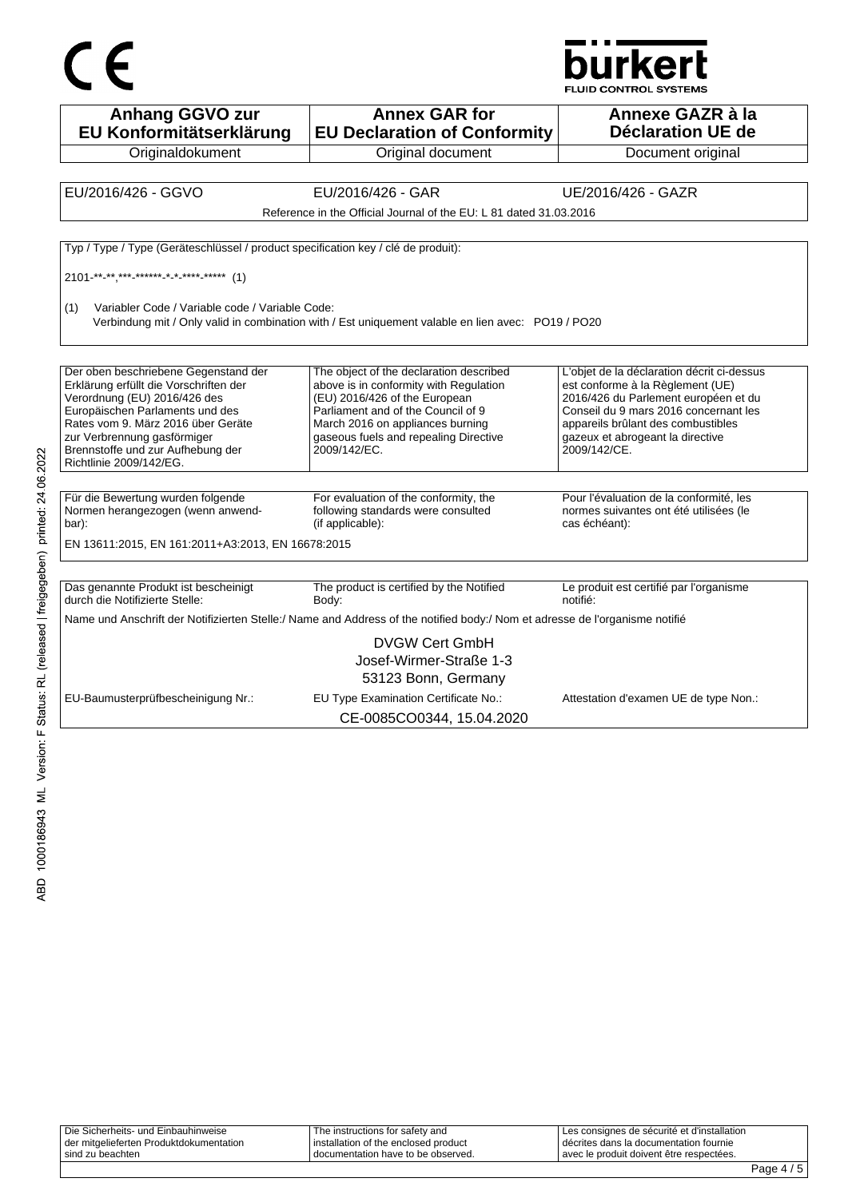

**Anhang GGVO zur EU Konformitätserklärung Originaldokument Annex GAR for EU Declaration of Conformity** Original document **Annexe GAZR à la Déclaration UE de**  Document original EU/2016/426 - GGVO EU/2016/426 - GAR UE/2016/426 - GAZR Reference in the Official Journal of the EU: L 81 dated 31.03.2016 Typ / Type / Type (Geräteschlüssel / product specification key / clé de produit): 2101-\*\*-\*\*,\*\*\*-\*\*\*\*\*\*-\*-\*-\*\*\*\*-\*\*\*\*\* (1) (1) Variabler Code / Variable code / Variable Code: Verbindung mit / Only valid in combination with / Est uniquement valable en lien avec: PO19 / PO20 Der oben beschriebene Gegenstand der Erklärung erfüllt die Vorschriften der Verordnung (EU) 2016/426 des Europäischen Parlaments und des Rates vom 9. März 2016 über Geräte zur Verbrennung gasförmiger Brennstoffe und zur Aufhebung der Richtlinie 2009/142/EG. The object of the declaration described above is in conformity with Regulation (EU) 2016/426 of the European Parliament and of the Council of 9 March 2016 on appliances burning gaseous fuels and repealing Directive 2009/142/EC. L'objet de la déclaration décrit ci-dessus est conforme à la Règlement (UE) 2016/426 du Parlement européen et du Conseil du 9 mars 2016 concernant les appareils brûlant des combustibles gazeux et abrogeant la directive 2009/142/CE Für die Bewertung wurden folgende Normen herangezogen (wenn anwendbar): For evaluation of the conformity, the following standards were consulted (if applicable): Pour l'évaluation de la conformité, les normes suivantes ont été utilisées (le cas échéant): EN 13611:2015, EN 161:2011+A3:2013, EN 16678:2015 Das genannte Produkt ist bescheinigt durch die Notifizierte Stelle: The product is certified by the Notified Body: Le produit est certifié par l'organisme notifié: Name und Anschrift der Notifizierten Stelle:/ Name and Address of the notified body:/ Nom et adresse de l'organisme notifié DVGW Cert GmbH Josef-Wirmer-Straße 1-3 53123 Bonn, Germany EU-Baumusterprüfbescheinigung Nr.: EU Type Examination Certificate No.: Attestation d'examen UE de type Non.:

CE-0085CO0344, 15.04.2020

| Die Sicherheits- und Einbauhinweise     | The instructions for safety and      | Les consignes de sécurité et d'installation |  |
|-----------------------------------------|--------------------------------------|---------------------------------------------|--|
| der mitgelieferten Produktdokumentation | installation of the enclosed product | décrites dans la documentation fournie      |  |
| l sind zu beachten                      | documentation have to be observed.   | avec le produit doivent être respectées.    |  |
|                                         |                                      |                                             |  |